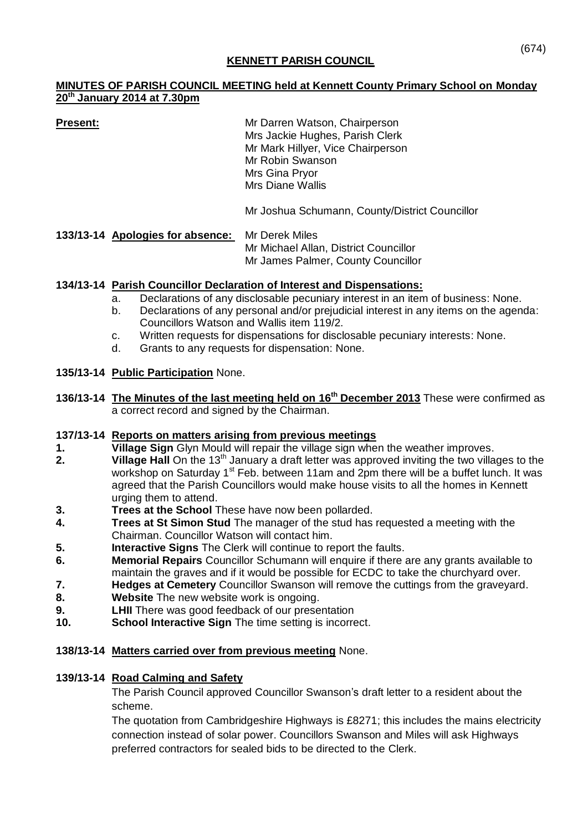## **KENNETT PARISH COUNCIL**

## **MINUTES OF PARISH COUNCIL MEETING held at Kennett County Primary School on Monday 20th January 2014 at 7.30pm**

**Present:** Mr Darren Watson, Chairperson Mrs Jackie Hughes, Parish Clerk Mr Mark Hillyer, Vice Chairperson Mr Robin Swanson Mrs Gina Pryor Mrs Diane Wallis

Mr Joshua Schumann, County/District Councillor

**133/13-14 Apologies for absence:** Mr Derek Miles Mr Michael Allan, District Councillor Mr James Palmer, County Councillor

## **134/13-14 Parish Councillor Declaration of Interest and Dispensations:**

- a. Declarations of any disclosable pecuniary interest in an item of business: None.
- b. Declarations of any personal and/or prejudicial interest in any items on the agenda: Councillors Watson and Wallis item 119/2.
- c. Written requests for dispensations for disclosable pecuniary interests: None.
- d. Grants to any requests for dispensation: None.

## **135/13-14 Public Participation** None.

136/13-14 The Minutes of the last meeting held on 16<sup>th</sup> December 2013 These were confirmed as a correct record and signed by the Chairman.

#### **137/13-14 Reports on matters arising from previous meetings**

- **1. Village Sign** Glyn Mould will repair the village sign when the weather improves.
- **2. Village Hall** On the 13<sup>th</sup> January a draft letter was approved inviting the two villages to the workshop on Saturday 1<sup>st</sup> Feb. between 11am and 2pm there will be a buffet lunch. It was agreed that the Parish Councillors would make house visits to all the homes in Kennett urging them to attend.
- **3. Trees at the School** These have now been pollarded.
- **4. Trees at St Simon Stud** The manager of the stud has requested a meeting with the Chairman. Councillor Watson will contact him.
- **5. Interactive Signs** The Clerk will continue to report the faults.
- **6. Memorial Repairs** Councillor Schumann will enquire if there are any grants available to maintain the graves and if it would be possible for ECDC to take the churchyard over.
- **7. Hedges at Cemetery** Councillor Swanson will remove the cuttings from the graveyard.
- **8. Website** The new website work is ongoing.
- **9. LHII** There was good feedback of our presentation
- **10. School Interactive Sign** The time setting is incorrect.

#### **138/13-14 Matters carried over from previous meeting** None.

# **139/13-14 Road Calming and Safety**

The Parish Council approved Councillor Swanson's draft letter to a resident about the scheme.

The quotation from Cambridgeshire Highways is £8271; this includes the mains electricity connection instead of solar power. Councillors Swanson and Miles will ask Highways preferred contractors for sealed bids to be directed to the Clerk.